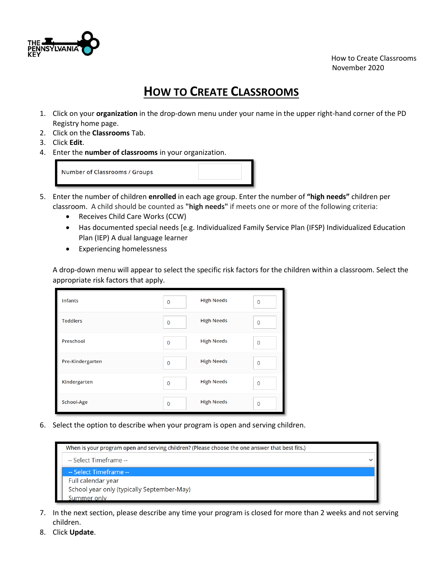

 How to Create Classrooms November 2020

## **HOW TO CREATE CLASSROOMS**

- 1. Click on your **organization** in the drop-down menu under your name in the upper right-hand corner of the PD Registry home page.
- 2. Click on the **Classrooms** Tab.
- 3. Click **Edit**.
- 4. Enter the **number of classrooms** in your organization.

Number of Classrooms / Groups

- 5. Enter the number of children **enrolled** in each age group. Enter the number of **"high needs"** children per classroom. A child should be counted as **"high needs"** if meets one or more of the following criteria:
	- Receives Child Care Works (CCW)
	- Has documented special needs [e.g. Individualized Family Service Plan (IFSP) Individualized Education Plan (IEP) A dual language learner
	- Experiencing homelessness

A drop-down menu will appear to select the specific risk factors for the children within a classroom. Select the appropriate risk factors that apply.

| <b>Infants</b>   | $\overline{0}$ | <b>High Needs</b> | $\overline{0}$ |
|------------------|----------------|-------------------|----------------|
| <b>Toddlers</b>  | $\mathbf{0}$   | <b>High Needs</b> | $\Omega$       |
| Preschool        | $\mathbf{0}$   | <b>High Needs</b> | $\mathbf{0}$   |
| Pre-Kindergarten | $\mathbf{0}$   | <b>High Needs</b> | $\mathbf{0}$   |
| Kindergarten     | $\mathbf{0}$   | <b>High Needs</b> | $\overline{0}$ |
| School-Age       | $\overline{0}$ | <b>High Needs</b> | $\mathbf{0}$   |

6. Select the option to describe when your program is open and serving children.

| When is your program open and serving children? (Please choose the one answer that best fits.) |  |
|------------------------------------------------------------------------------------------------|--|
| -- Select Timeframe --                                                                         |  |
| -- Select Timeframe --                                                                         |  |
| Full calendar year                                                                             |  |
| School year only (typically September-May)                                                     |  |
| Summer only                                                                                    |  |

- 7. In the next section, please describe any time your program is closed for more than 2 weeks and not serving children.
- 8. Click **Update**.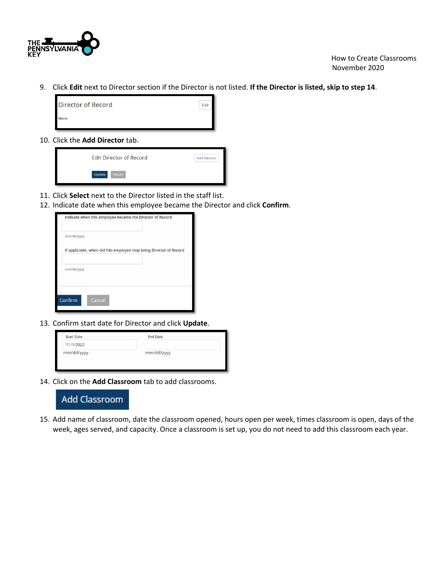

9. Click **Edit** next to Director section if the Director is not listed. **If the Director is listed, skip to step 14**.

| Director of Record | Edit |
|--------------------|------|
| None               |      |

10. Click the **Add Director** tab.



- 11. Click **Select** next to the Director listed in the staff list.
- 12. Indicate date when this employee became the Director and click **Confirm**.

| Indicate when this employee became the Director of Record           |
|---------------------------------------------------------------------|
| mm/dd/yyyy                                                          |
| If applicable, when did this employee stop being Director of Record |
| mm/dd/yyyy                                                          |
| Confirm<br>Cancel                                                   |

13. Confirm start date for Director and click **Update**.

| <b>Start Date</b> | <b>End Date</b> |
|-------------------|-----------------|
| 11/1/2020         |                 |
| mm/dd/yyyy        | mm/dd/yyyy      |
|                   |                 |
|                   |                 |

14. Click on the **Add Classroom** tab to add classrooms.



15. Add name of classroom, date the classroom opened, hours open per week, times classroom is open, days of the week, ages served, and capacity. Once a classroom is set up, you do not need to add this classroom each year.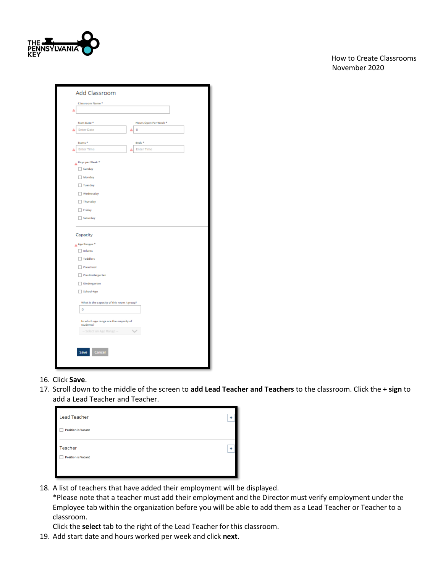

 How to Create Classrooms November 2020

| Classroom Name*                     | Add Classroom                              |                       |  |
|-------------------------------------|--------------------------------------------|-----------------------|--|
| А                                   |                                            |                       |  |
|                                     |                                            |                       |  |
| Start Date <sup>+</sup>             |                                            | Hours Open Per Week * |  |
| <b>Enter Date</b>                   |                                            | D<br>۵                |  |
| Starts <sup>+</sup>                 |                                            | Ends <sup>+</sup>     |  |
| <b>Enter Time</b>                   |                                            | <b>Enter Time</b>     |  |
| Days per Week *                     |                                            |                       |  |
| Sunday                              |                                            |                       |  |
| Monday                              |                                            |                       |  |
| Tuesday                             |                                            |                       |  |
| <b>Wednesday</b>                    |                                            |                       |  |
| Thursday                            |                                            |                       |  |
| Friday                              |                                            |                       |  |
| Saturday                            |                                            |                       |  |
|                                     |                                            |                       |  |
| Capacity<br>Age Ranges <sup>+</sup> |                                            |                       |  |
| $\Box$ Infants                      |                                            |                       |  |
| Toddlers<br>Ī                       |                                            |                       |  |
| Preschool                           |                                            |                       |  |
| Pre-Kindergarten                    |                                            |                       |  |
| Kindergarten                        |                                            |                       |  |
| School-Age                          |                                            |                       |  |
|                                     | What is the capacity of this room / group? |                       |  |
| o                                   |                                            |                       |  |
|                                     | In which age range are the majority of     |                       |  |
| students?                           | -- Select an Age Range --                  |                       |  |
|                                     |                                            |                       |  |
| Save                                | Cancel                                     |                       |  |

- 16. Click **Save**.
- 17. Scroll down to the middle of the screen to **add Lead Teacher and Teachers** to the classroom. Click the **+ sign** to add a Lead Teacher and Teacher.

| ÷.                   |
|----------------------|
|                      |
| $\ddot{\phantom{0}}$ |
|                      |
|                      |

18. A list of teachers that have added their employment will be displayed.

\*Please note that a teacher must add their employment and the Director must verify employment under the Employee tab within the organization before you will be able to add them as a Lead Teacher or Teacher to a classroom.

Click the **selec**t tab to the right of the Lead Teacher for this classroom.

19. Add start date and hours worked per week and click **next**.